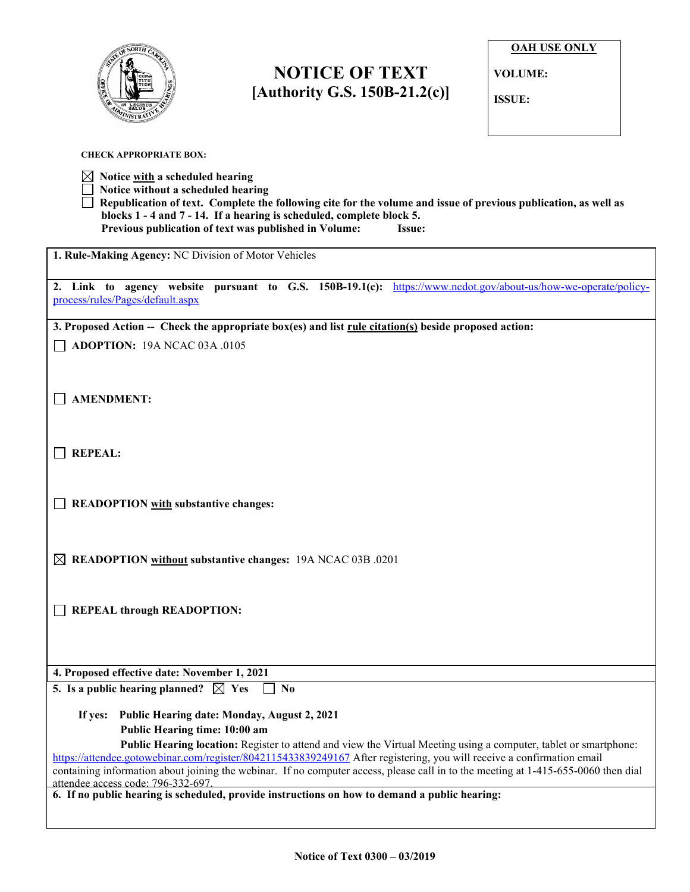

**CHECK APPROPRIATE BOX:**

l

## **NOTICE OF TEXT [Authority G.S. 150B-21.2(c)]**

**OAH USE ONLY**

**VOLUME:**

**ISSUE:**

| Notice with a scheduled hearing<br>Notice without a scheduled hearing<br>Republication of text. Complete the following cite for the volume and issue of previous publication, as well as<br>blocks 1 - 4 and 7 - 14. If a hearing is scheduled, complete block 5.<br>Previous publication of text was published in Volume:<br>Issue:                                             |  |  |
|----------------------------------------------------------------------------------------------------------------------------------------------------------------------------------------------------------------------------------------------------------------------------------------------------------------------------------------------------------------------------------|--|--|
| 1. Rule-Making Agency: NC Division of Motor Vehicles                                                                                                                                                                                                                                                                                                                             |  |  |
| 2. Link to agency website pursuant to G.S. 150B-19.1(c): https://www.ncdot.gov/about-us/how-we-operate/policy-<br>process/rules/Pages/default.aspx                                                                                                                                                                                                                               |  |  |
| 3. Proposed Action -- Check the appropriate box(es) and list rule citation(s) beside proposed action:                                                                                                                                                                                                                                                                            |  |  |
| <b>ADOPTION: 19A NCAC 03A .0105</b>                                                                                                                                                                                                                                                                                                                                              |  |  |
| <b>AMENDMENT:</b>                                                                                                                                                                                                                                                                                                                                                                |  |  |
| <b>REPEAL:</b>                                                                                                                                                                                                                                                                                                                                                                   |  |  |
| <b>READOPTION</b> with substantive changes:                                                                                                                                                                                                                                                                                                                                      |  |  |
| $\boxtimes$ READOPTION without substantive changes: 19A NCAC 03B .0201                                                                                                                                                                                                                                                                                                           |  |  |
| <b>REPEAL through READOPTION:</b>                                                                                                                                                                                                                                                                                                                                                |  |  |
|                                                                                                                                                                                                                                                                                                                                                                                  |  |  |
| 4. Proposed effective date: November 1, 2021                                                                                                                                                                                                                                                                                                                                     |  |  |
| 5. Is a public hearing planned? $\boxtimes$ Yes<br>No                                                                                                                                                                                                                                                                                                                            |  |  |
| If yes: Public Hearing date: Monday, August 2, 2021                                                                                                                                                                                                                                                                                                                              |  |  |
| Public Hearing time: 10:00 am                                                                                                                                                                                                                                                                                                                                                    |  |  |
| Public Hearing location: Register to attend and view the Virtual Meeting using a computer, tablet or smartphone:<br>https://attendee.gotowebinar.com/register/8042115433839249167 After registering, you will receive a confirmation email<br>containing information about joining the webinar. If no computer access, please call in to the meeting at 1-415-655-0060 then dial |  |  |
| attendee access code: 796-332-697.<br>6. If no public hearing is scheduled, provide instructions on how to demand a public hearing:                                                                                                                                                                                                                                              |  |  |